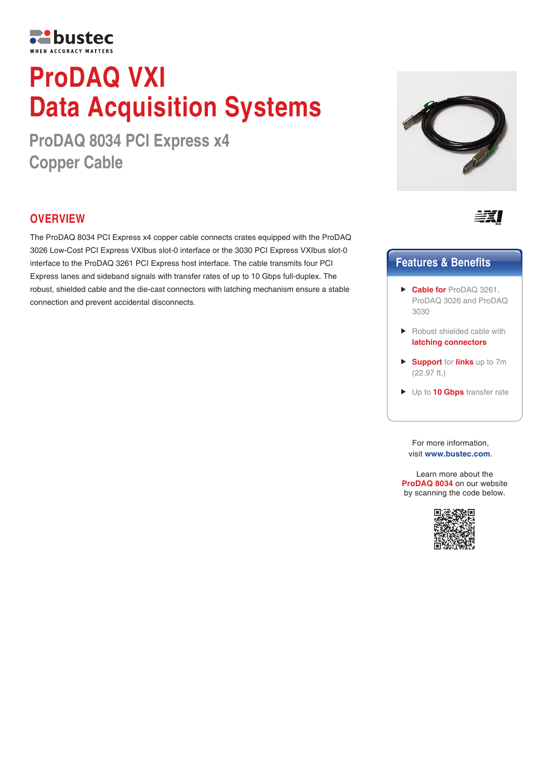

# **ProDAQ VXI Data Acquisition Systems**

**ProDAQ 8034 PCI Express x4 Copper Cable**

## **OVERVIEW**

The ProDAQ 8034 PCI Express x4 copper cable connects crates equipped with the ProDAQ 3026 Low-Cost PCI Express VXIbus slot-0 interface or the 3030 PCI Express VXIbus slot-0 interface to the ProDAQ 3261 PCI Express host interface. The cable transmits four PCI Express lanes and sideband signals with transfer rates of up to 10 Gbps full-duplex. The robust, shielded cable and the die-cast connectors with latching mechanism ensure a stable connection and prevent accidental disconnects.





## **Features & Benefits**

- **Cable for** ProDAQ 3261, ProDAQ 3026 and ProDAQ 3030
- ▶ Robust shielded cable with **latching connectors**
- **Support** for **links** up to 7m (22.97 ft.)
- Up to **10 Gbps** transfer rate

For more information, visit **www.bustec.com**.

Learn more about the **ProDAQ 8034** on our website by scanning the code below.